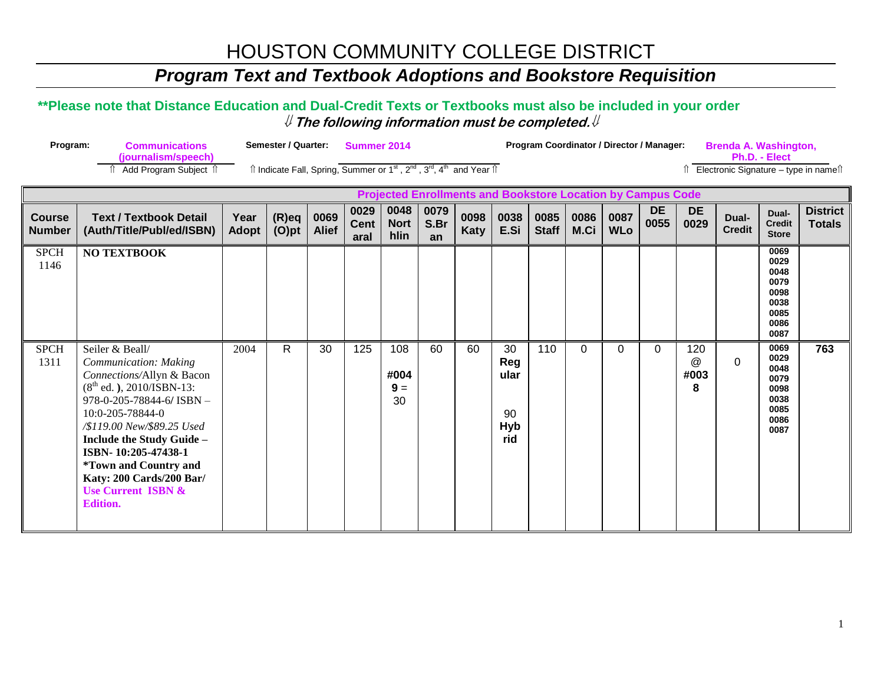### **Program Text and Textbook Adoptions and Bookstore Requisition**

#### \*\*Please note that Distance Education and Dual-Credit Texts or Textbooks must also be included in your order  $\#$  The following information must be completed. $\#$

| Program:                       | <b>Communications</b><br>(journalism/speech)                                                                                                                                                                                                                                                                                                           |                      | Semester / Quarter:  |                      | Summer 2014<br>Îl Indicate Fall, Spring, Summer or 1 <sup>st</sup> , 2 <sup>nd</sup> , 3 <sup>rd</sup> , 4 <sup>th</sup> and Year 1 |                             |                    |              |                                              | Program Coordinator / Director / Manager:                                                  |              |                    |                   | <b>Brenda A. Washington,</b><br>Ph.D. - Elect<br>Electronic Signature - type in namest |                        |                                                                      |                                  |
|--------------------------------|--------------------------------------------------------------------------------------------------------------------------------------------------------------------------------------------------------------------------------------------------------------------------------------------------------------------------------------------------------|----------------------|----------------------|----------------------|-------------------------------------------------------------------------------------------------------------------------------------|-----------------------------|--------------------|--------------|----------------------------------------------|--------------------------------------------------------------------------------------------|--------------|--------------------|-------------------|----------------------------------------------------------------------------------------|------------------------|----------------------------------------------------------------------|----------------------------------|
|                                | <b>↑ Add Program Subject ↑</b>                                                                                                                                                                                                                                                                                                                         |                      |                      |                      |                                                                                                                                     |                             |                    |              |                                              |                                                                                            |              |                    |                   |                                                                                        |                        |                                                                      |                                  |
| <b>Course</b><br><b>Number</b> | <b>Text / Textbook Detail</b><br>(Auth/Title/Publ/ed/ISBN)                                                                                                                                                                                                                                                                                             | Year<br><b>Adopt</b> | $(R)$ eq<br>$(O)$ pt | 0069<br><b>Alief</b> | 0029<br><b>Cent</b><br>aral                                                                                                         | 0048<br><b>Nort</b><br>hlin | 0079<br>S.Br<br>an | 0098<br>Katy | 0038<br>E.Si                                 | <b>Projected Enrollments and Bookstore Location by Campus Code</b><br>0085<br><b>Staff</b> | 0086<br>M.Ci | 0087<br><b>WLo</b> | <b>DE</b><br>0055 | <b>DE</b><br>0029                                                                      | Dual-<br><b>Credit</b> | Dual-<br><b>Credit</b><br><b>Store</b>                               | <b>District</b><br><b>Totals</b> |
| <b>SPCH</b><br>1146            | <b>NO TEXTBOOK</b>                                                                                                                                                                                                                                                                                                                                     |                      |                      |                      |                                                                                                                                     |                             |                    |              |                                              |                                                                                            |              |                    |                   |                                                                                        |                        | 0069<br>0029<br>0048<br>0079<br>0098<br>0038<br>0085<br>0086<br>0087 |                                  |
| <b>SPCH</b><br>1311            | Seiler & Beall/<br>Communication: Making<br>Connections/Allyn & Bacon<br>$(8th$ ed.), 2010/ISBN-13:<br>978-0-205-78844-6/ ISBN -<br>10:0-205-78844-0<br>/\$119.00 New/\$89.25 Used<br>Include the Study Guide -<br>ISBN-10:205-47438-1<br><i>*Town and Country and</i><br>Katy: 200 Cards/200 Bar/<br><b>Use Current ISBN &amp;</b><br><b>Edition.</b> | 2004                 | R.                   | 30                   | 125                                                                                                                                 | 108<br>#004<br>$9 =$<br>30  | 60                 | 60           | 30<br>Reg<br>ular<br>90<br><b>Hyb</b><br>rid | 110                                                                                        | $\Omega$     | 0                  | $\Omega$          | 120<br>@<br>#003<br>8                                                                  | $\Omega$               | 0069<br>0029<br>0048<br>0079<br>0098<br>0038<br>0085<br>0086<br>0087 | 763                              |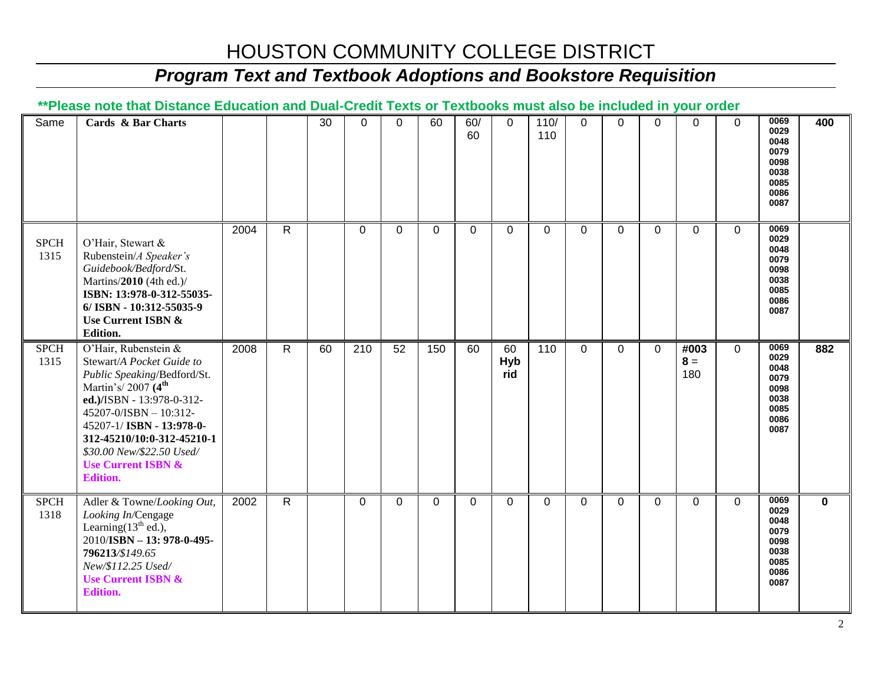### *Program Text and Textbook Adoptions and Bookstore Requisition*

#### **\*\*Please note that Distance Education and Dual-Credit Texts or Textbooks must also be included in your order**

| Same                | Cards & Bar Charts                                                                                                                                                                                                                                                                                                   |      |                | 30 | $\mathbf 0$    | 0        | 60          | 60/<br>60   | $\mathbf 0$      | 110/<br>110    | $\mathbf 0$ | $\overline{0}$ | $\mathbf 0$  | $\mathbf 0$          | $\mathbf 0$ | 0069<br>0029<br>0048<br>0079<br>0098<br>0038<br>0085<br>0086<br>0087 | 400         |
|---------------------|----------------------------------------------------------------------------------------------------------------------------------------------------------------------------------------------------------------------------------------------------------------------------------------------------------------------|------|----------------|----|----------------|----------|-------------|-------------|------------------|----------------|-------------|----------------|--------------|----------------------|-------------|----------------------------------------------------------------------|-------------|
| <b>SPCH</b><br>1315 | O'Hair, Stewart &<br>Rubenstein/A Speaker's<br>Guidebook/Bedford/St.<br>Martins/2010 (4th ed.)/<br>ISBN: 13:978-0-312-55035-<br>6/ ISBN - 10:312-55035-9<br>Use Current ISBN &<br>Edition.                                                                                                                           | 2004 | $\overline{R}$ |    | $\overline{0}$ | $\Omega$ | $\mathbf 0$ | $\mathbf 0$ | $\mathbf 0$      | $\mathbf 0$    | $\mathbf 0$ | $\Omega$       | $\mathbf 0$  | $\overline{0}$       | $\mathbf 0$ | 0069<br>0029<br>0048<br>0079<br>0098<br>0038<br>0085<br>0086<br>0087 |             |
| <b>SPCH</b><br>1315 | O'Hair, Rubenstein &<br>Stewart/A Pocket Guide to<br>Public Speaking/Bedford/St.<br>Martin's/2007 (4 <sup>th</sup><br>ed.)/ISBN - 13:978-0-312-<br>45207-0/ISBN - 10:312-<br>45207-1/ISBN - 13:978-0-<br>312-45210/10:0-312-45210-1<br>\$30.00 New/\$22.50 Used/<br><b>Use Current ISBN &amp;</b><br><b>Edition.</b> | 2008 | $\mathsf{R}$   | 60 | 210            | 52       | 150         | 60          | 60<br>Hyb<br>rid | 110            | $\mathbf 0$ | $\mathbf{0}$   | $\mathbf{0}$ | #003<br>$8 =$<br>180 | $\mathbf 0$ | 0069<br>0029<br>0048<br>0079<br>0098<br>0038<br>0085<br>0086<br>0087 | 882         |
| <b>SPCH</b><br>1318 | Adler & Towne/Looking Out,<br>Looking In/Cengage<br>Learning $(13th$ ed.),<br>2010/ISBN - 13: 978-0-495-<br>796213/\$149.65<br>New/\$112.25 Used/<br><b>Use Current ISBN &amp;</b><br><b>Edition.</b>                                                                                                                | 2002 | $\mathsf{R}$   |    | $\mathbf 0$    | $\Omega$ | $\mathbf 0$ | $\mathbf 0$ | 0                | $\overline{0}$ | 0           | $\mathbf 0$    | 0            | $\Omega$             | 0           | 0069<br>0029<br>0048<br>0079<br>0098<br>0038<br>0085<br>0086<br>0087 | $\mathbf 0$ |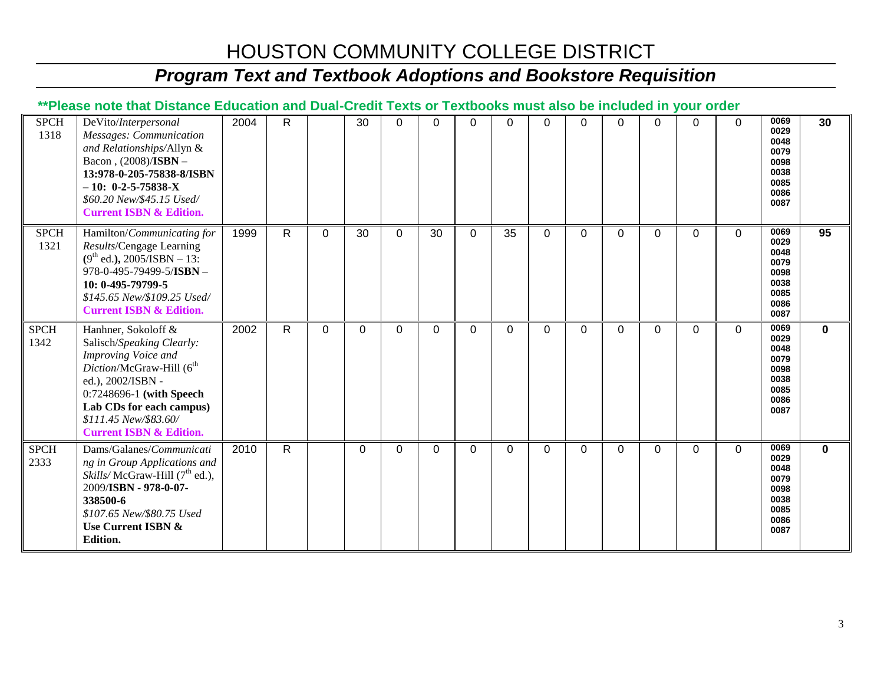# *Program Text and Textbook Adoptions and Bookstore Requisition*

#### **\*\*Please note that Distance Education and Dual-Credit Texts or Textbooks must also be included in your order**

| <b>SPCH</b><br>1318 | DeVito/Interpersonal<br>Messages: Communication<br>and Relationships/Allyn &<br>Bacon, (2008)/ISBN -<br>13:978-0-205-75838-8/ISBN<br>$-10: 0-2-5-75838-X$<br>\$60.20 New/\$45.15 Used/<br><b>Current ISBN &amp; Edition.</b>                                | 2004 | $\mathsf{R}$ |          | 30           | $\Omega$ | $\Omega$ | $\Omega$ | 0        | $\Omega$    | $\Omega$    | 0        | $\Omega$ | $\Omega$ | $\Omega$     | 0069<br>0029<br>0048<br>0079<br>0098<br>0038<br>0085<br>0086<br>0087 | 30          |
|---------------------|-------------------------------------------------------------------------------------------------------------------------------------------------------------------------------------------------------------------------------------------------------------|------|--------------|----------|--------------|----------|----------|----------|----------|-------------|-------------|----------|----------|----------|--------------|----------------------------------------------------------------------|-------------|
| <b>SPCH</b><br>1321 | Hamilton/Communicating for<br>Results/Cengage Learning<br>$(9th$ ed.), 2005/ISBN - 13:<br>978-0-495-79499-5/ISBN -<br>10: 0-495-79799-5<br>\$145.65 New/\$109.25 Used/<br><b>Current ISBN &amp; Edition.</b>                                                | 1999 | $\mathsf{R}$ | 0        | 30           | $\Omega$ | 30       | $\Omega$ | 35       | $\Omega$    | $\mathbf 0$ | $\Omega$ | $\Omega$ | $\Omega$ | $\mathbf{0}$ | 0069<br>0029<br>0048<br>0079<br>0098<br>0038<br>0085<br>0086<br>0087 | 95          |
| <b>SPCH</b><br>1342 | Hanhner, Sokoloff &<br>Salisch/Speaking Clearly:<br>Improving Voice and<br>Diction/McGraw-Hill (6 <sup>th</sup><br>ed.), 2002/ISBN -<br>0:7248696-1 (with Speech<br>Lab CDs for each campus)<br>\$111.45 New/\$83.60/<br><b>Current ISBN &amp; Edition.</b> | 2002 | $\mathsf{R}$ | $\Omega$ | $\Omega$     | $\Omega$ | $\Omega$ | $\Omega$ | 0        | $\Omega$    | $\Omega$    | $\Omega$ | $\Omega$ | $\Omega$ | $\Omega$     | 0069<br>0029<br>0048<br>0079<br>0098<br>0038<br>0085<br>0086<br>0087 | $\mathbf 0$ |
| <b>SPCH</b><br>2333 | Dams/Galanes/Communicati<br>ng in Group Applications and<br>Skills/McGraw-Hill (7 <sup>th</sup> ed.),<br>2009/ISBN - 978-0-07-<br>338500-6<br>\$107.65 New/\$80.75 Used<br>Use Current ISBN &<br><b>Edition.</b>                                            | 2010 | $\mathsf{R}$ |          | $\mathbf{0}$ | $\Omega$ | 0        | $\Omega$ | $\Omega$ | $\mathbf 0$ | $\Omega$    | $\Omega$ | $\Omega$ | $\Omega$ | $\Omega$     | 0069<br>0029<br>0048<br>0079<br>0098<br>0038<br>0085<br>0086<br>0087 | $\mathbf 0$ |